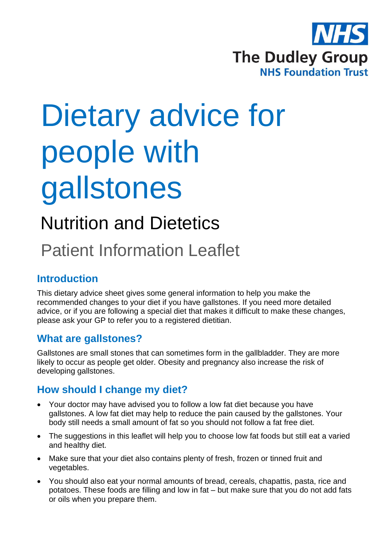

# Dietary advice for people with gallstones

## Nutrition and Dietetics

## Patient Information Leaflet

### **Introduction**

This dietary advice sheet gives some general information to help you make the recommended changes to your diet if you have gallstones. If you need more detailed advice, or if you are following a special diet that makes it difficult to make these changes, please ask your GP to refer you to a registered dietitian.

#### **What are gallstones?**

Gallstones are small stones that can sometimes form in the gallbladder. They are more likely to occur as people get older. Obesity and pregnancy also increase the risk of developing gallstones.

#### **How should I change my diet?**

- Your doctor may have advised you to follow a low fat diet because you have gallstones. A low fat diet may help to reduce the pain caused by the gallstones. Your body still needs a small amount of fat so you should not follow a fat free diet.
- The suggestions in this leaflet will help you to choose low fat foods but still eat a varied and healthy diet.
- Make sure that your diet also contains plenty of fresh, frozen or tinned fruit and vegetables.
- You should also eat your normal amounts of bread, cereals, chapattis, pasta, rice and potatoes. These foods are filling and low in fat – but make sure that you do not add fats or oils when you prepare them.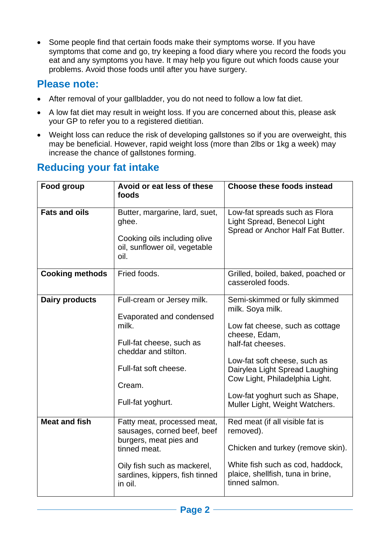• Some people find that certain foods make their symptoms worse. If you have symptoms that come and go, try keeping a food diary where you record the foods you eat and any symptoms you have. It may help you figure out which foods cause your problems. Avoid those foods until after you have surgery.

### **Please note:**

- After removal of your gallbladder, you do not need to follow a low fat diet.
- A low fat diet may result in weight loss. If you are concerned about this, please ask your GP to refer you to a registered dietitian.
- Weight loss can reduce the risk of developing gallstones so if you are overweight, this may be beneficial. However, rapid weight loss (more than 2lbs or 1kg a week) may increase the chance of gallstones forming.

| <b>Reducing your fat intake</b> |  |  |  |
|---------------------------------|--|--|--|
|---------------------------------|--|--|--|

| Food group             | Avoid or eat less of these<br>foods                                                                                                                                              | <b>Choose these foods instead</b>                                                                                                                                                                                                                                                                  |
|------------------------|----------------------------------------------------------------------------------------------------------------------------------------------------------------------------------|----------------------------------------------------------------------------------------------------------------------------------------------------------------------------------------------------------------------------------------------------------------------------------------------------|
| <b>Fats and oils</b>   | Butter, margarine, lard, suet,<br>ghee.<br>Cooking oils including olive<br>oil, sunflower oil, vegetable<br>oil.                                                                 | Low-fat spreads such as Flora<br>Light Spread, Benecol Light<br>Spread or Anchor Half Fat Butter.                                                                                                                                                                                                  |
| <b>Cooking methods</b> | Fried foods.                                                                                                                                                                     | Grilled, boiled, baked, poached or<br>casseroled foods.                                                                                                                                                                                                                                            |
| Dairy products         | Full-cream or Jersey milk.<br>Evaporated and condensed<br>milk.<br>Full-fat cheese, such as<br>cheddar and stilton.<br>Full-fat soft cheese.<br>Cream.<br>Full-fat yoghurt.      | Semi-skimmed or fully skimmed<br>milk. Soya milk.<br>Low fat cheese, such as cottage<br>cheese, Edam,<br>half-fat cheeses.<br>Low-fat soft cheese, such as<br>Dairylea Light Spread Laughing<br>Cow Light, Philadelphia Light.<br>Low-fat yoghurt such as Shape,<br>Muller Light, Weight Watchers. |
| <b>Meat and fish</b>   | Fatty meat, processed meat,<br>sausages, corned beef, beef<br>burgers, meat pies and<br>tinned meat.<br>Oily fish such as mackerel,<br>sardines, kippers, fish tinned<br>in oil. | Red meat (if all visible fat is<br>removed).<br>Chicken and turkey (remove skin).<br>White fish such as cod, haddock,<br>plaice, shellfish, tuna in brine,<br>tinned salmon.                                                                                                                       |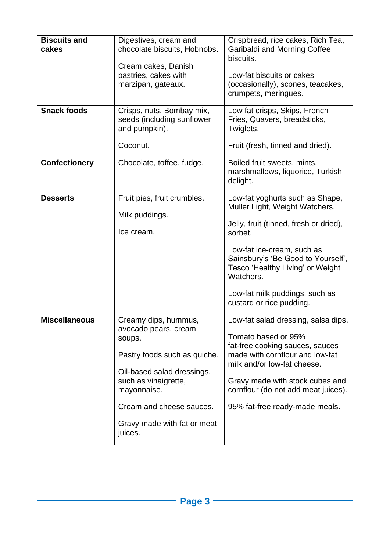| <b>Biscuits and</b><br>cakes<br><b>Snack foods</b> | Digestives, cream and<br>chocolate biscuits, Hobnobs.<br>Cream cakes, Danish<br>pastries, cakes with<br>marzipan, gateaux.<br>Crisps, nuts, Bombay mix,<br>seeds (including sunflower<br>and pumpkin).<br>Coconut.                | Crispbread, rice cakes, Rich Tea,<br>Garibaldi and Morning Coffee<br>biscuits.<br>Low-fat biscuits or cakes<br>(occasionally), scones, teacakes,<br>crumpets, meringues.<br>Low fat crisps, Skips, French<br>Fries, Quavers, breadsticks,<br>Twiglets.<br>Fruit (fresh, tinned and dried).                |
|----------------------------------------------------|-----------------------------------------------------------------------------------------------------------------------------------------------------------------------------------------------------------------------------------|-----------------------------------------------------------------------------------------------------------------------------------------------------------------------------------------------------------------------------------------------------------------------------------------------------------|
| <b>Confectionery</b>                               | Chocolate, toffee, fudge.                                                                                                                                                                                                         | Boiled fruit sweets, mints,<br>marshmallows, liquorice, Turkish<br>delight.                                                                                                                                                                                                                               |
| <b>Desserts</b>                                    | Fruit pies, fruit crumbles.<br>Milk puddings.<br>Ice cream.                                                                                                                                                                       | Low-fat yoghurts such as Shape,<br>Muller Light, Weight Watchers.<br>Jelly, fruit (tinned, fresh or dried),<br>sorbet.<br>Low-fat ice-cream, such as<br>Sainsbury's 'Be Good to Yourself',<br>Tesco 'Healthy Living' or Weight<br>Watchers.<br>Low-fat milk puddings, such as<br>custard or rice pudding. |
| <b>Miscellaneous</b>                               | Creamy dips, hummus,<br>avocado pears, cream<br>soups.<br>Pastry foods such as quiche.<br>Oil-based salad dressings,<br>such as vinaigrette,<br>mayonnaise.<br>Cream and cheese sauces.<br>Gravy made with fat or meat<br>juices. | Low-fat salad dressing, salsa dips.<br>Tomato based or 95%<br>fat-free cooking sauces, sauces<br>made with cornflour and low-fat<br>milk and/or low-fat cheese.<br>Gravy made with stock cubes and<br>cornflour (do not add meat juices).<br>95% fat-free ready-made meals.                               |